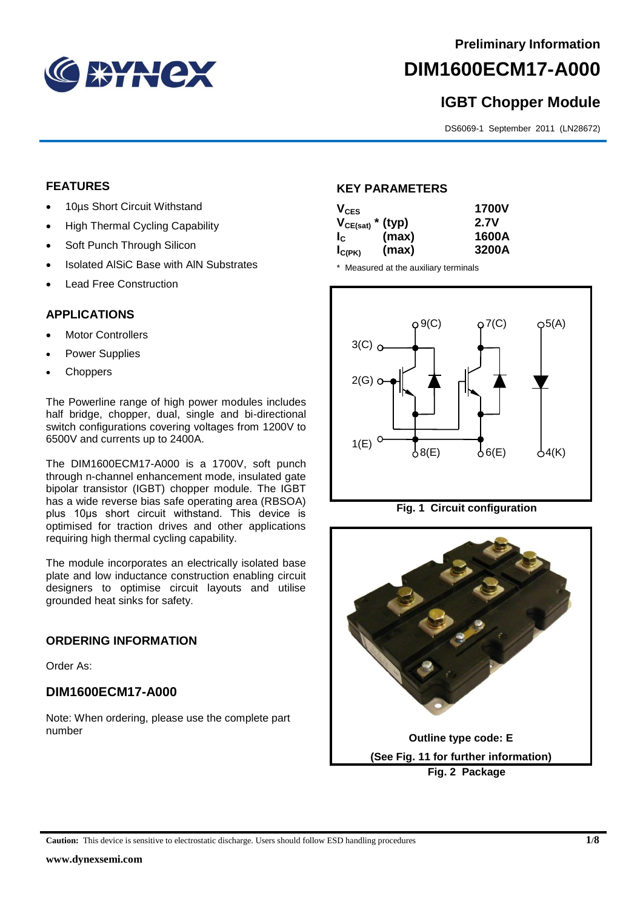

# **DIM1600ECM17-A000**

## **IGBT Chopper Module**

DS6069-1 September 2011 (LN28672)

#### **FEATURES**

- 10µs Short Circuit Withstand
- High Thermal Cycling Capability
- Soft Punch Through Silicon
- Isolated AISiC Base with AIN Substrates
- Lead Free Construction

#### **APPLICATIONS**

- Motor Controllers
- Power Supplies
- **Choppers**

The Powerline range of high power modules includes half bridge, chopper, dual, single and bi-directional switch configurations covering voltages from 1200V to 6500V and currents up to 2400A.

The DIM1600ECM17-A000 is a 1700V, soft punch through n-channel enhancement mode, insulated gate bipolar transistor (IGBT) chopper module. The IGBT has a wide reverse bias safe operating area (RBSOA) plus 10μs short circuit withstand. This device is optimised for traction drives and other applications requiring high thermal cycling capability.

The module incorporates an electrically isolated base plate and low inductance construction enabling circuit designers to optimise circuit layouts and utilise grounded heat sinks for safety.

#### **ORDERING INFORMATION**

Order As:

### **DIM1600ECM17-A000**

Note: When ordering, please use the complete part number

#### **KEY PARAMETERS**

| $V_{CES}$             |       | <b>1700V</b> |
|-----------------------|-------|--------------|
| $V_{CE(sat)}$ * (typ) |       | 2.7V         |
| $I_{\rm c}$           | (max) | 1600A        |
| $I_{C(PK)}$           | (max) | 3200A        |

\* Measured at the auxiliary terminals



**Fig. 1 Circuit configuration**

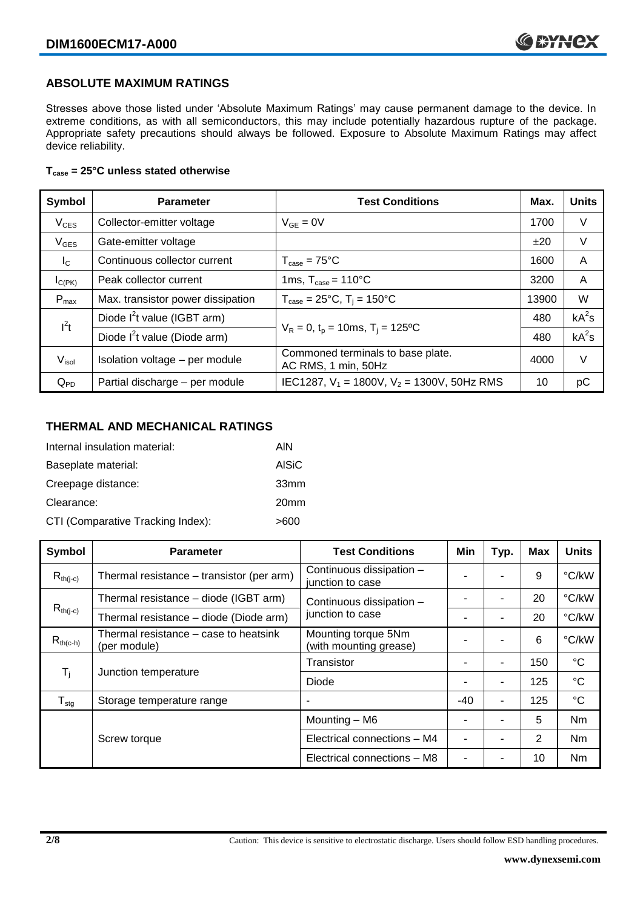#### **ABSOLUTE MAXIMUM RATINGS**

Stresses above those listed under 'Absolute Maximum Ratings' may cause permanent damage to the device. In extreme conditions, as with all semiconductors, this may include potentially hazardous rupture of the package. Appropriate safety precautions should always be followed. Exposure to Absolute Maximum Ratings may affect device reliability.

#### **Tcase = 25°C unless stated otherwise**

| Symbol            | <b>Parameter</b>                                                 | <b>Test Conditions</b>                                   |      | <b>Units</b> |
|-------------------|------------------------------------------------------------------|----------------------------------------------------------|------|--------------|
| $V_{CES}$         | Collector-emitter voltage                                        | $V_{GE} = 0V$                                            | 1700 | V            |
| $V_{\text{GES}}$  | Gate-emitter voltage                                             |                                                          | ±20  | V            |
| $I_{\rm C}$       | Continuous collector current                                     | $T_{\text{case}} = 75^{\circ}C$                          | 1600 | A            |
| $I_{C(PK)}$       | 1ms, $T_{\text{case}} = 110^{\circ}$ C<br>Peak collector current |                                                          | 3200 | A            |
| $P_{\text{max}}$  | Max. transistor power dissipation                                | $T_{\text{case}} = 25^{\circ}C$ , $T_i = 150^{\circ}C$   |      | W            |
| $I^2t$            | Diode $I^2$ t value (IGBT arm)                                   |                                                          | 480  | $kA^2s$      |
|                   | Diode $I^2$ t value (Diode arm)                                  | $V_R = 0$ , $t_p = 10$ ms, $T_i = 125$ °C                |      | $kA^2s$      |
| $V_{\text{isol}}$ | Isolation voltage - per module                                   | Commoned terminals to base plate.<br>AC RMS, 1 min, 50Hz | 4000 | V            |
| $Q_{PD}$          | Partial discharge - per module                                   | IEC1287, $V_1$ = 1800V, $V_2$ = 1300V, 50Hz RMS          | 10   | pC           |

#### **THERMAL AND MECHANICAL RATINGS**

| Internal insulation material:     | AIN              |
|-----------------------------------|------------------|
| Baseplate material:               | <b>AISiC</b>     |
| Creepage distance:                | 33mm             |
| Clearance:                        | 20 <sub>mm</sub> |
| CTI (Comparative Tracking Index): | >600             |

| Symbol                       | <b>Parameter</b>                                                                                                                                 | <b>Test Conditions</b>                        | Min | Typ.                     | <b>Max</b> | <b>Units</b>    |
|------------------------------|--------------------------------------------------------------------------------------------------------------------------------------------------|-----------------------------------------------|-----|--------------------------|------------|-----------------|
| $R_{th(i-c)}$                | Thermal resistance – transistor (per arm)                                                                                                        | Continuous dissipation -<br>junction to case  |     |                          | 9          | °C/kW           |
|                              | Thermal resistance - diode (IGBT arm)<br>Continuous dissipation -<br>$R_{th(j-c)}$<br>junction to case<br>Thermal resistance - diode (Diode arm) |                                               |     | $\overline{\phantom{0}}$ | 20         | °C/kW           |
|                              |                                                                                                                                                  |                                               |     | $\blacksquare$           | 20         | °C/kW           |
| $R_{th(c-h)}$                | Thermal resistance - case to heatsink<br>(per module)                                                                                            | Mounting torque 5Nm<br>(with mounting grease) |     |                          | 6          | °C/kW           |
| $\mathsf{T}_{\mathsf{i}}$    | Junction temperature                                                                                                                             | Transistor                                    |     | ۰                        | 150        | $^{\circ}C$     |
|                              |                                                                                                                                                  | Diode                                         |     | $\blacksquare$           | 125        | $\rm ^{\circ}C$ |
| ${\mathsf T}_{\textsf{stg}}$ | Storage temperature range                                                                                                                        |                                               | -40 | $\blacksquare$           | 125        | $^{\circ}C$     |
|                              |                                                                                                                                                  | Mounting - M6                                 |     | $\overline{\phantom{0}}$ | 5          | Nm              |
|                              | Screw torque                                                                                                                                     | Electrical connections - M4                   |     | $\overline{\phantom{0}}$ | 2          | Nm              |
|                              |                                                                                                                                                  | Electrical connections - M8                   |     | ٠                        | 10         | Nm              |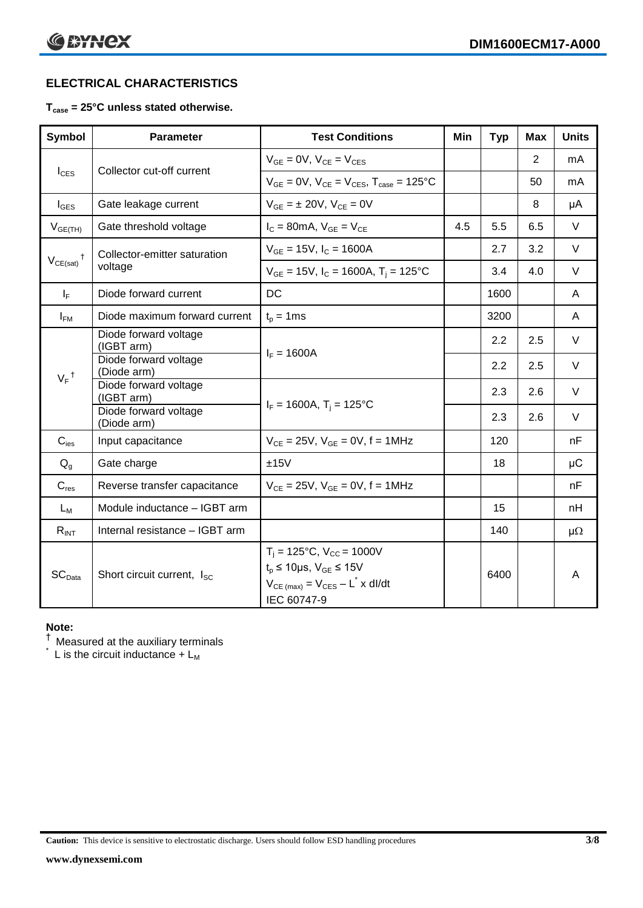### **ELECTRICAL CHARACTERISTICS**

#### **Tcase = 25°C unless stated otherwise.**

| <b>Symbol</b>      | <b>Parameter</b>                        | <b>Test Conditions</b>                                                                                                                          | Min | <b>Typ</b> | <b>Max</b> | <b>Units</b> |
|--------------------|-----------------------------------------|-------------------------------------------------------------------------------------------------------------------------------------------------|-----|------------|------------|--------------|
|                    | Collector cut-off current               | $V_{GE} = 0V$ , $V_{CE} = V_{CES}$                                                                                                              |     |            | 2          | mA           |
| $I_{\text{CES}}$   |                                         | $V_{GF} = 0V$ , $V_{CF} = V_{CES}$ , $T_{case} = 125$ °C                                                                                        |     |            | 50         | mA           |
| $I_{\text{GES}}$   | Gate leakage current                    | $V_{GF} = \pm 20V$ , $V_{CF} = 0V$                                                                                                              |     |            | 8          | μA           |
| $V_{GE(TH)}$       | Gate threshold voltage                  | $I_C = 80$ mA, $V_{GE} = V_{CE}$                                                                                                                | 4.5 | 5.5        | 6.5        | $\vee$       |
| $^{\dagger}$       | Collector-emitter saturation<br>voltage | $V_{GE}$ = 15V, $I_C$ = 1600A                                                                                                                   |     | 2.7        | 3.2        | $\vee$       |
| $V_{CE(sat)}$      |                                         | $V_{GE}$ = 15V, $I_C$ = 1600A, T <sub>i</sub> = 125°C                                                                                           |     | 3.4        | 4.0        | $\vee$       |
| $I_F$              | Diode forward current                   | DC                                                                                                                                              |     | 1600       |            | A            |
| $I_{FM}$           | Diode maximum forward current           | $t_p = 1$ ms                                                                                                                                    |     | 3200       |            | A            |
| $V_F$ <sup>†</sup> | Diode forward voltage<br>(IGBT arm)     |                                                                                                                                                 |     | 2.2        | 2.5        | $\vee$       |
|                    | Diode forward voltage<br>(Diode arm)    | $I_F = 1600A$                                                                                                                                   |     | 2.2        | 2.5        | V            |
|                    | Diode forward voltage<br>(IGBT arm)     |                                                                                                                                                 |     | 2.3        | 2.6        | V            |
|                    | Diode forward voltage<br>(Diode arm)    | $I_F = 1600A$ , $T_i = 125^{\circ}C$                                                                                                            |     | 2.3        | 2.6        | $\vee$       |
| $C_{\text{ies}}$   | Input capacitance                       | $V_{CF} = 25V$ , $V_{GF} = 0V$ , f = 1MHz                                                                                                       |     | 120        |            | nF           |
| $Q_q$              | Gate charge                             | ±15V                                                                                                                                            |     | 18         |            | $\mu$ C      |
| $C_{res}$          | Reverse transfer capacitance            | $V_{CE} = 25V$ , $V_{GE} = 0V$ , f = 1MHz                                                                                                       |     |            |            | nF           |
| $L_M$              | Module inductance - IGBT arm            |                                                                                                                                                 |     | 15         |            | nH           |
| $R_{INT}$          | Internal resistance - IGBT arm          |                                                                                                                                                 |     | 140        |            | $\mu\Omega$  |
| SC <sub>Data</sub> | Short circuit current, I <sub>SC</sub>  | $T_i = 125$ °C, $V_{CC} = 1000V$<br>$t_p \le 10 \mu s$ , $V_{GE} \le 15V$<br>$V_{CE \text{ (max)}} = V_{CES} - L^* \times dl/dt$<br>IEC 60747-9 |     | 6400       |            | A            |

#### **Note:**

 $^\dagger$  Measured at the auxiliary terminals

 $\check{}$  L is the circuit inductance + L<sub>M</sub>

**Caution:** This device is sensitive to electrostatic discharge. Users should follow ESD handling procedures **3/8**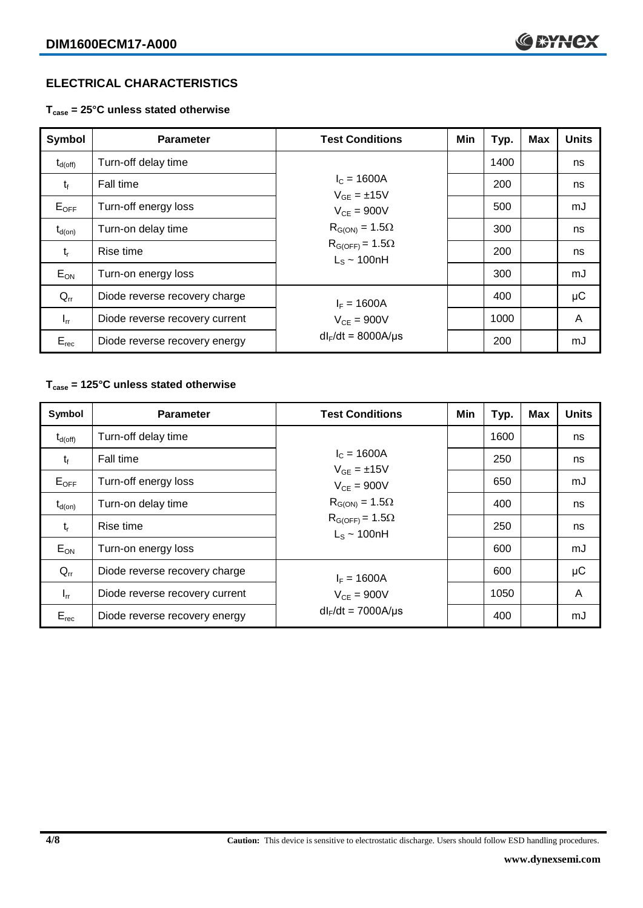#### **ELECTRICAL CHARACTERISTICS**

**Tcase = 25°C unless stated otherwise**

| Symbol              | <b>Parameter</b>               | <b>Test Conditions</b>                                                                                                            | Min | Typ. | <b>Max</b> | <b>Units</b> |
|---------------------|--------------------------------|-----------------------------------------------------------------------------------------------------------------------------------|-----|------|------------|--------------|
| $t_{d(\text{off})}$ | Turn-off delay time            | $I_c = 1600A$<br>$V_{GF} = \pm 15V$<br>$V_{CF} = 900V$<br>$R_{G(ON)} = 1.5\Omega$<br>$R_{G(OFF)} = 1.5\Omega$<br>$L_s \sim 100hH$ |     | 1400 |            | ns           |
| $t_{f}$             | Fall time                      |                                                                                                                                   |     | 200  |            | ns           |
| $E_{OFF}$           | Turn-off energy loss           |                                                                                                                                   |     | 500  |            | mJ           |
| $t_{d(on)}$         | Turn-on delay time             |                                                                                                                                   |     | 300  |            | ns           |
| $t_{r}$             | Rise time                      |                                                                                                                                   |     | 200  |            | ns           |
| $E_{ON}$            | Turn-on energy loss            |                                                                                                                                   |     | 300  |            | mJ           |
| $Q_{rr}$            | Diode reverse recovery charge  | $I_F = 1600A$                                                                                                                     |     | 400  |            | μC           |
| $I_{rr}$            | Diode reverse recovery current | $V_{CF} = 900V$                                                                                                                   |     | 1000 |            | A            |
| $E_{rec}$           | Diode reverse recovery energy  | $dl_F/dt = 8000A/\mu s$                                                                                                           |     | 200  |            | mJ           |

#### **Tcase = 125°C unless stated otherwise**

| Symbol              | <b>Parameter</b>               | <b>Test Conditions</b>                                                                                                            | Min | Typ. | <b>Max</b> | <b>Units</b> |
|---------------------|--------------------------------|-----------------------------------------------------------------------------------------------------------------------------------|-----|------|------------|--------------|
| $t_{d(\text{off})}$ | Turn-off delay time            | $I_c = 1600A$<br>$V_{GE} = \pm 15V$<br>$V_{CE} = 900V$<br>$R_{G(ON)} = 1.5\Omega$<br>$R_{G(OFF)} = 1.5\Omega$<br>$L_s \sim 100nH$ |     | 1600 |            | ns           |
| $t_{f}$             | Fall time                      |                                                                                                                                   |     | 250  |            | ns           |
| $E_{OFF}$           | Turn-off energy loss           |                                                                                                                                   |     | 650  |            | mJ           |
| $t_{d(on)}$         | Turn-on delay time             |                                                                                                                                   |     | 400  |            | ns           |
| $t_{r}$             | Rise time                      |                                                                                                                                   |     | 250  |            | ns           |
| $E_{ON}$            | Turn-on energy loss            |                                                                                                                                   |     | 600  |            | mJ           |
| $Q_{rr}$            | Diode reverse recovery charge  | $I_F = 1600A$                                                                                                                     |     | 600  |            | $\mu$ C      |
| $I_{rr}$            | Diode reverse recovery current | $V_{CE}$ = 900V                                                                                                                   |     | 1050 |            | A            |
| $E_{rec}$           | Diode reverse recovery energy  | $dl_F/dt = 7000A/\mu s$                                                                                                           |     | 400  |            | mJ           |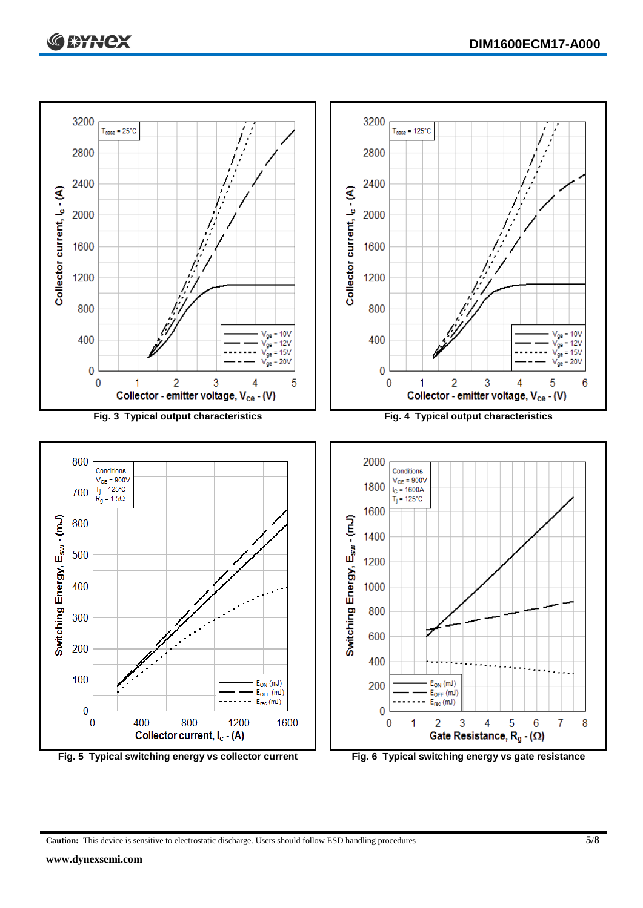

**Caution:** This device is sensitive to electrostatic discharge. Users should follow ESD handling procedures **5/8**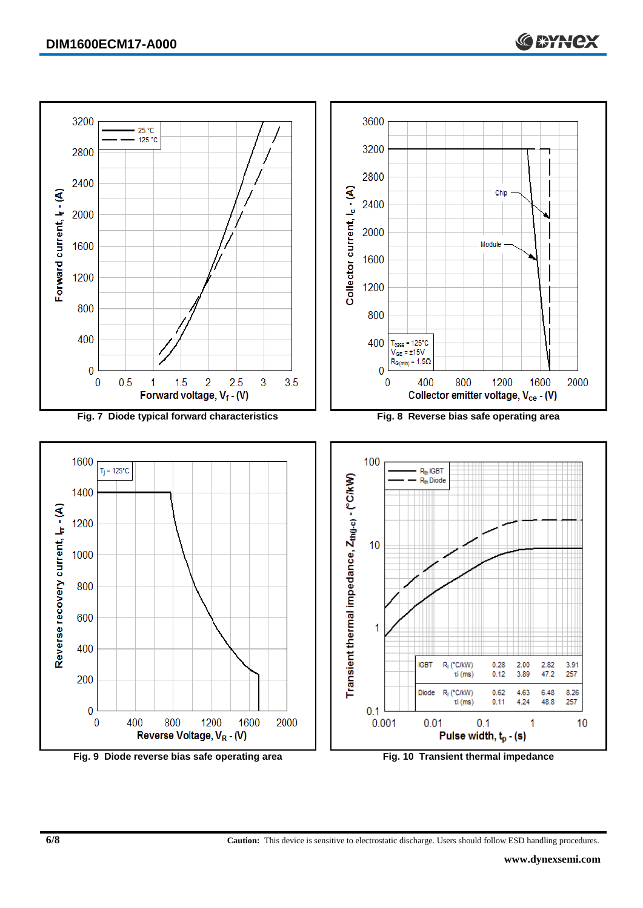

**Fig. 9 Diode reverse bias safe operating area Fig. 10 Transient thermal impedance**

**6/8 Caution:** This device is sensitive to electrostatic discharge. Users should follow ESD handling procedures.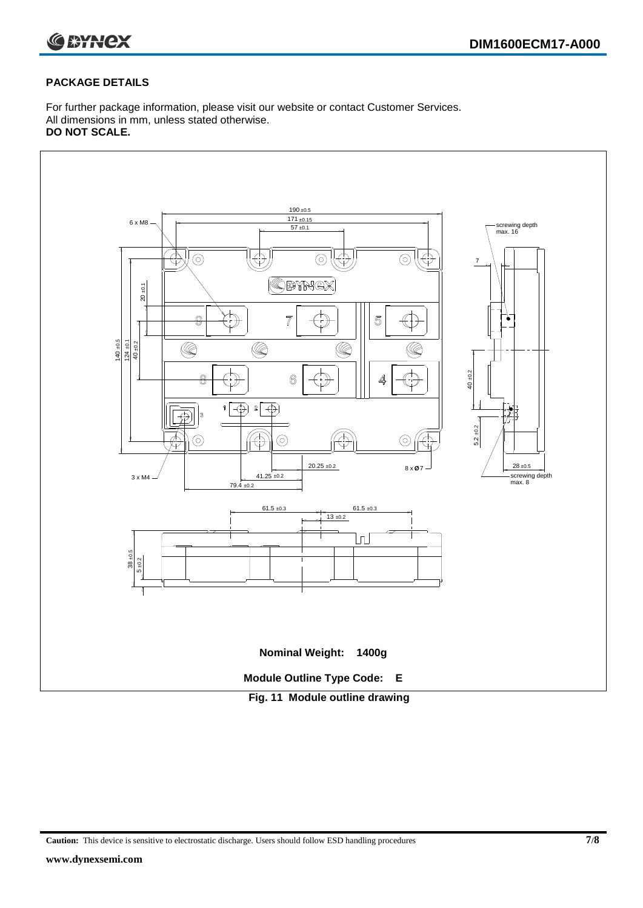

#### **PACKAGE DETAILS**

For further package information, please visit our website or contact Customer Services. All dimensions in mm, unless stated otherwise. **DO NOT SCALE.**



**Caution:** This device is sensitive to electrostatic discharge. Users should follow ESD handling procedures **7/8**